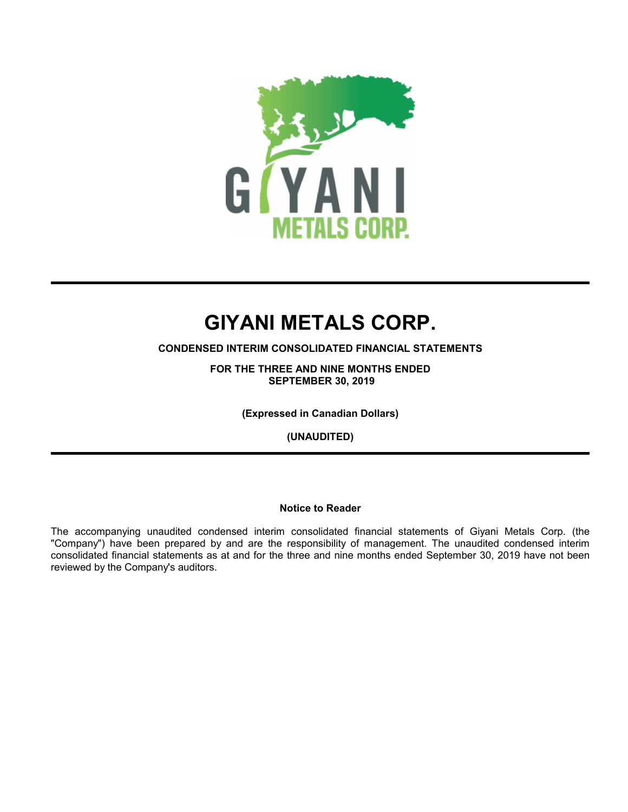

**CONDENSED INTERIM CONSOLIDATED FINANCIAL STATEMENTS**

**FOR THE THREE AND NINE MONTHS ENDED SEPTEMBER 30, 2019**

**(Expressed in Canadian Dollars)**

**(UNAUDITED)**

#### **Notice to Reader**

The accompanying unaudited condensed interim consolidated financial statements of Giyani Metals Corp. (the "Company") have been prepared by and are the responsibility of management. The unaudited condensed interim consolidated financial statements as at and for the three and nine months ended September 30, 2019 have not been reviewed by the Company's auditors.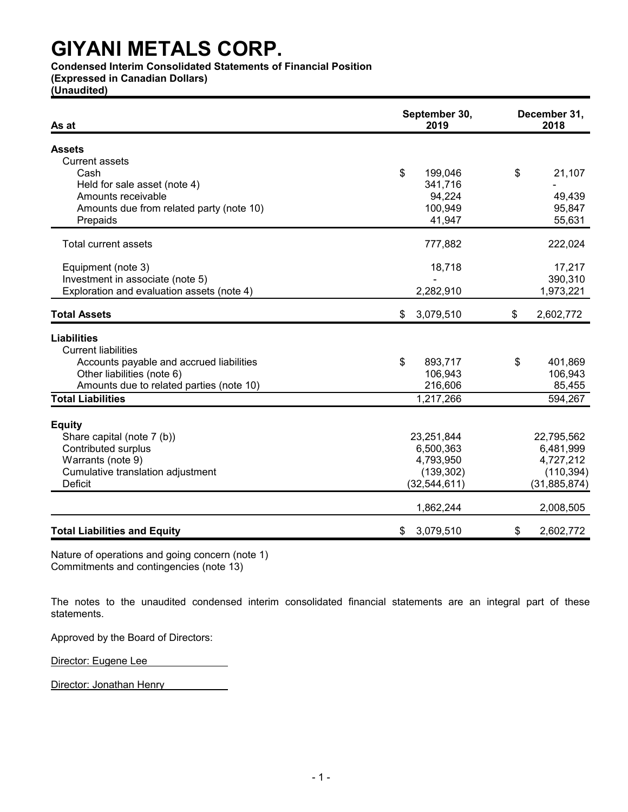**Condensed Interim Consolidated Statements of Financial Position**

**(Expressed in Canadian Dollars)**

**(Unaudited)**

| As at                                      | September 30,<br>2019 | December 31,<br>2018 |
|--------------------------------------------|-----------------------|----------------------|
| <b>Assets</b>                              |                       |                      |
| <b>Current assets</b>                      |                       |                      |
| Cash                                       | \$<br>199,046         | \$<br>21,107         |
| Held for sale asset (note 4)               | 341,716               |                      |
| Amounts receivable                         | 94,224                | 49,439               |
| Amounts due from related party (note 10)   | 100,949               | 95,847               |
| Prepaids                                   | 41,947                | 55,631               |
| Total current assets                       | 777,882               | 222,024              |
|                                            |                       |                      |
| Equipment (note 3)                         | 18,718                | 17,217               |
| Investment in associate (note 5)           |                       | 390,310              |
| Exploration and evaluation assets (note 4) | 2,282,910             | 1,973,221            |
| <b>Total Assets</b>                        | \$<br>3,079,510       | 2,602,772<br>\$      |
| <b>Liabilities</b>                         |                       |                      |
| <b>Current liabilities</b>                 |                       |                      |
| Accounts payable and accrued liabilities   | \$<br>893,717         | 401,869<br>\$        |
| Other liabilities (note 6)                 | 106,943               | 106,943              |
| Amounts due to related parties (note 10)   | 216,606               | 85,455               |
| <b>Total Liabilities</b>                   | 1,217,266             | 594,267              |
|                                            |                       |                      |
| <b>Equity</b>                              |                       |                      |
| Share capital (note 7 (b))                 | 23,251,844            | 22,795,562           |
| <b>Contributed surplus</b>                 | 6,500,363             | 6,481,999            |
| Warrants (note 9)                          | 4,793,950             | 4,727,212            |
| Cumulative translation adjustment          | (139, 302)            | (110, 394)           |
| <b>Deficit</b>                             | (32, 544, 611)        | (31, 885, 874)       |
|                                            | 1,862,244             | 2,008,505            |
| <b>Total Liabilities and Equity</b>        | 3,079,510<br>\$       | \$<br>2,602,772      |

Nature of operations and going concern (note 1) Commitments and contingencies (note 13)

The notes to the unaudited condensed interim consolidated financial statements are an integral part of these statements.

Approved by the Board of Directors:

Director: Eugene Lee

Director: Jonathan Henry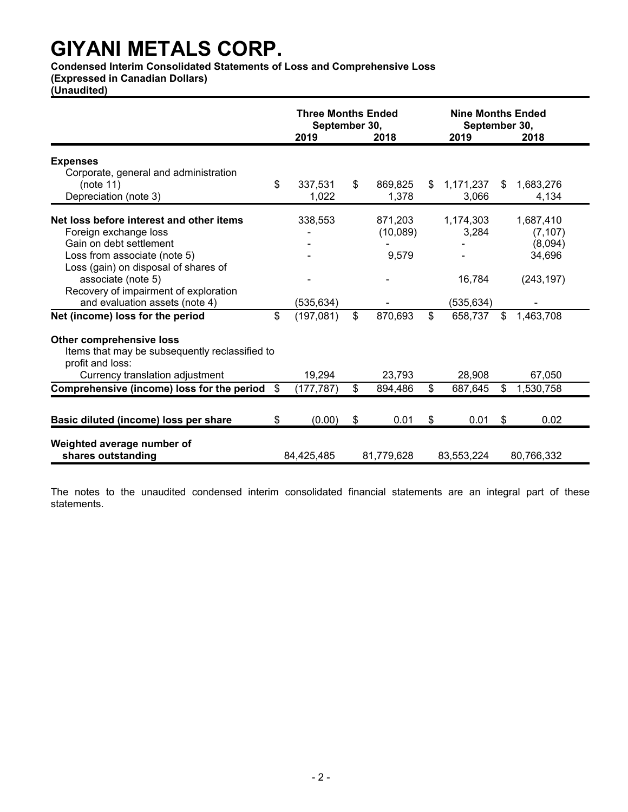**Condensed Interim Consolidated Statements of Loss and Comprehensive Loss**

**(Expressed in Canadian Dollars)**

**(Unaudited)**

|                                                                    | <b>Three Months Ended</b><br>September 30,<br>2019<br>2018 |    |            | <b>Nine Months Ended</b><br>September 30,<br>2019<br>2018 |    |            |
|--------------------------------------------------------------------|------------------------------------------------------------|----|------------|-----------------------------------------------------------|----|------------|
|                                                                    |                                                            |    |            |                                                           |    |            |
| <b>Expenses</b>                                                    |                                                            |    |            |                                                           |    |            |
| Corporate, general and administration                              |                                                            |    |            |                                                           |    |            |
| (note 11)                                                          | \$<br>337,531                                              | \$ | 869,825    | \$<br>1,171,237                                           | \$ | 1,683,276  |
| Depreciation (note 3)                                              | 1,022                                                      |    | 1,378      | 3,066                                                     |    | 4,134      |
| Net loss before interest and other items                           | 338,553                                                    |    | 871.203    | 1,174,303                                                 |    | 1,687,410  |
| Foreign exchange loss                                              |                                                            |    | (10,089)   | 3,284                                                     |    | (7, 107)   |
| Gain on debt settlement                                            |                                                            |    |            |                                                           |    | (8,094)    |
| Loss from associate (note 5)                                       |                                                            |    | 9,579      |                                                           |    | 34,696     |
| Loss (gain) on disposal of shares of                               |                                                            |    |            |                                                           |    |            |
| associate (note 5)                                                 |                                                            |    |            | 16,784                                                    |    | (243, 197) |
| Recovery of impairment of exploration                              |                                                            |    |            |                                                           |    |            |
| and evaluation assets (note 4)                                     | (535, 634)                                                 |    |            | (535, 634)                                                |    |            |
| Net (income) loss for the period                                   | \$<br>(197,081)                                            | \$ | 870,693    | \$<br>658,737                                             | \$ | 1,463,708  |
| <b>Other comprehensive loss</b>                                    |                                                            |    |            |                                                           |    |            |
| Items that may be subsequently reclassified to<br>profit and loss: |                                                            |    |            |                                                           |    |            |
| Currency translation adjustment                                    | 19,294                                                     |    | 23,793     | 28,908                                                    |    | 67,050     |
| Comprehensive (income) loss for the period                         | \$<br>(177, 787)                                           | \$ | 894,486    | \$<br>687,645                                             | \$ | 1,530,758  |
|                                                                    |                                                            |    |            |                                                           |    |            |
| Basic diluted (income) loss per share                              | \$<br>(0.00)                                               | \$ | 0.01       | \$<br>0.01                                                | \$ | 0.02       |
| Weighted average number of                                         |                                                            |    |            |                                                           |    |            |
| shares outstanding                                                 | 84,425,485                                                 |    | 81,779,628 | 83,553,224                                                |    | 80,766,332 |

The notes to the unaudited condensed interim consolidated financial statements are an integral part of these statements.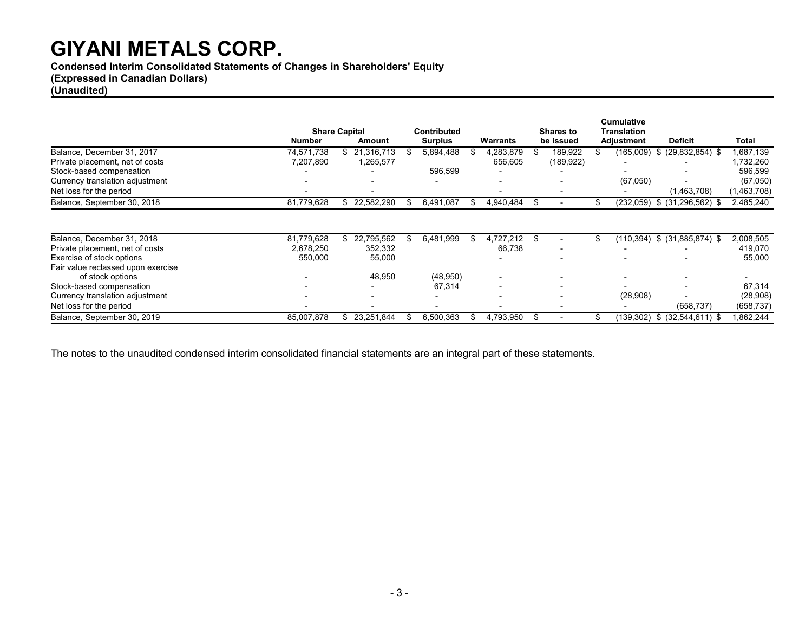**Condensed Interim Consolidated Statements of Changes in Shareholders' Equity**

### **(Expressed in Canadian Dollars)**

#### **(Unaudited)**

|                                    |                          |                                       |                          |    |                          |                               |    | <b>Cumulative</b>        |                      |             |
|------------------------------------|--------------------------|---------------------------------------|--------------------------|----|--------------------------|-------------------------------|----|--------------------------|----------------------|-------------|
|                                    | Number                   | <b>Share Capital</b><br><b>Amount</b> | <b>Contributed</b>       |    | Warrants                 | <b>Shares to</b><br>be issued |    | <b>Translation</b>       | <b>Deficit</b>       | Total       |
|                                    |                          |                                       | <b>Surplus</b>           |    |                          |                               |    | Adjustment               |                      |             |
| Balance, December 31, 2017         | 74,571,738               | \$21.316.713                          | 5,894,488                |    | 4,283,879                | 189,922                       |    | (165,009)                | $$$ (29,832,854) $$$ | 1,687,139   |
| Private placement, net of costs    | 7,207,890                | 1,265,577                             |                          |    | 656,605                  | (189, 922)                    |    | $\overline{\phantom{0}}$ |                      | 1,732,260   |
| Stock-based compensation           |                          |                                       | 596,599                  |    |                          |                               |    |                          |                      | 596,599     |
| Currency translation adjustment    |                          |                                       |                          |    |                          |                               |    | (67,050)                 |                      | (67,050)    |
| Net loss for the period            |                          |                                       |                          |    |                          |                               |    |                          | (1,463,708)          | (1,463,708) |
| Balance, September 30, 2018        | 81,779,628               | 22,582,290<br>\$                      | 6,491,087                |    | 4,940,484                | \$                            |    | (232,059)                | $$$ (31,296,562) \$  | 2,485,240   |
|                                    |                          |                                       |                          |    |                          |                               |    |                          |                      |             |
| Balance, December 31, 2018         | 81,779,628               | 22,795,562<br>\$                      | 6,481,999                | Ж, | 4,727,212                | \$                            | \$ | (110.394)                | $$$ (31,885,874) \$  | 2,008,505   |
| Private placement, net of costs    | 2,678,250                | 352,332                               |                          |    | 66,738                   |                               |    | $\overline{a}$           |                      | 419,070     |
| Exercise of stock options          | 550,000                  | 55,000                                |                          |    |                          |                               |    |                          |                      | 55,000      |
| Fair value reclassed upon exercise |                          |                                       |                          |    |                          |                               |    |                          |                      |             |
| of stock options                   |                          | 48,950                                | (48, 950)                |    | $\overline{\phantom{0}}$ |                               |    |                          |                      |             |
| Stock-based compensation           |                          |                                       | 67,314                   |    | $\overline{\phantom{0}}$ |                               |    |                          |                      | 67,314      |
| Currency translation adjustment    | $\overline{\phantom{0}}$ | $\overline{\phantom{0}}$              | $\overline{\phantom{0}}$ |    | $\overline{\phantom{a}}$ |                               |    | (28,908)                 |                      | (28,908)    |
| Net loss for the period            | $\overline{\phantom{0}}$ |                                       | $\overline{\phantom{0}}$ |    | $\overline{\phantom{a}}$ |                               |    |                          | (658, 737)           | (658, 737)  |
| Balance, September 30, 2019        | 85,007,878               | 23,251,844<br>S.                      | 6,500,363                |    | 4,793,950                | £.                            | ß. | (139,302)                | $$$ (32,544,611) $$$ | 1,862,244   |

The notes to the unaudited condensed interim consolidated financial statements are an integral part of these statements.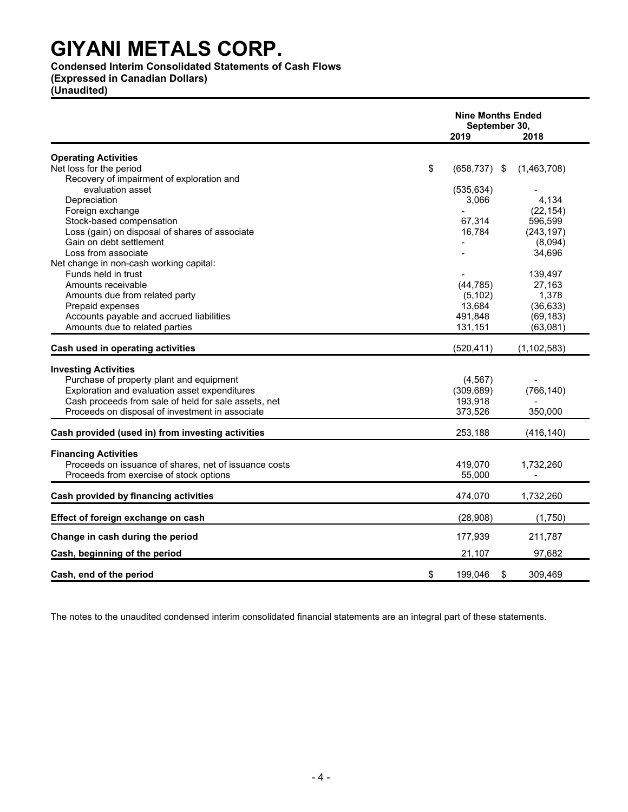#### **Condensed Interim Consolidated Statements of Cash Flows**

**(Expressed in Canadian Dollars)**

**(Unaudited)**

|                                                       | <b>Nine Months Ended</b><br>September 30, |               |
|-------------------------------------------------------|-------------------------------------------|---------------|
|                                                       | 2019                                      | 2018          |
| <b>Operating Activities</b>                           |                                           |               |
| Net loss for the period                               | \$<br>$(658, 737)$ \$                     | (1,463,708)   |
| Recovery of impairment of exploration and             |                                           |               |
| evaluation asset                                      | (535, 634)                                |               |
| Depreciation                                          | 3,066                                     | 4,134         |
| Foreign exchange                                      |                                           | (22, 154)     |
| Stock-based compensation                              | 67,314                                    | 596,599       |
| Loss (gain) on disposal of shares of associate        | 16,784                                    | (243, 197)    |
| Gain on debt settlement                               |                                           | (8,094)       |
| Loss from associate                                   |                                           | 34,696        |
| Net change in non-cash working capital:               |                                           |               |
| Funds held in trust                                   |                                           | 139,497       |
| Amounts receivable                                    | (44, 785)                                 | 27,163        |
| Amounts due from related party                        | (5, 102)                                  | 1,378         |
| Prepaid expenses                                      | 13,684                                    | (36, 633)     |
| Accounts payable and accrued liabilities              | 491,848                                   | (69, 183)     |
| Amounts due to related parties                        | 131,151                                   | (63,081)      |
|                                                       |                                           |               |
| Cash used in operating activities                     | (520, 411)                                | (1, 102, 583) |
| <b>Investing Activities</b>                           |                                           |               |
| Purchase of property plant and equipment              | (4, 567)                                  |               |
| Exploration and evaluation asset expenditures         | (309, 689)                                | (766, 140)    |
| Cash proceeds from sale of held for sale assets, net  | 193,918                                   |               |
| Proceeds on disposal of investment in associate       | 373,526                                   | 350,000       |
|                                                       |                                           |               |
| Cash provided (used in) from investing activities     | 253,188                                   | (416, 140)    |
| <b>Financing Activities</b>                           |                                           |               |
| Proceeds on issuance of shares, net of issuance costs | 419,070                                   | 1,732,260     |
| Proceeds from exercise of stock options               | 55,000                                    |               |
|                                                       |                                           |               |
| Cash provided by financing activities                 | 474,070                                   | 1,732,260     |
| Effect of foreign exchange on cash                    | (28,908)                                  | (1,750)       |
| Change in cash during the period                      | 177,939                                   | 211,787       |
| Cash, beginning of the period                         | 21,107                                    | 97,682        |
|                                                       |                                           |               |
| Cash, end of the period                               | \$<br>199,046                             | 309,469<br>\$ |

The notes to the unaudited condensed interim consolidated financial statements are an integral part of these statements.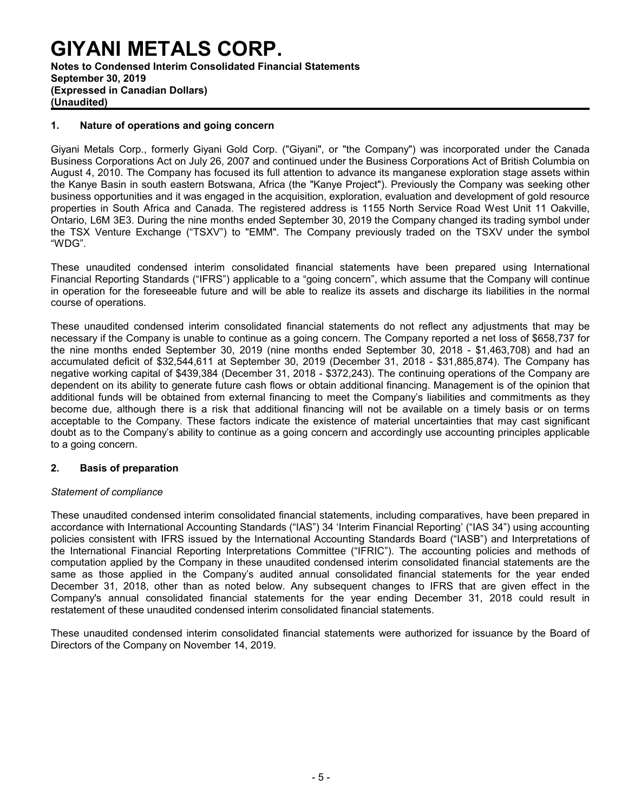### **GIYANI METALS CORP. Notes to Condensed Interim Consolidated Financial Statements September 30, 2019 (Expressed in Canadian Dollars)**

**(Unaudited)**

#### **1. Nature of operations and going concern**

Giyani Metals Corp., formerly Giyani Gold Corp. ("Giyani", or "the Company") was incorporated under the Canada Business Corporations Act on July 26, 2007 and continued under the Business Corporations Act of British Columbia on August 4, 2010. The Company has focused its full attention to advance its manganese exploration stage assets within the Kanye Basin in south eastern Botswana, Africa (the "Kanye Project"). Previously the Company was seeking other business opportunities and it was engaged in the acquisition, exploration, evaluation and development of gold resource properties in South Africa and Canada. The registered address is 1155 North Service Road West Unit 11 Oakville, Ontario, L6M 3E3. During the nine months ended September 30, 2019 the Company changed its trading symbol under the TSX Venture Exchange ("TSXV") to "EMM". The Company previously traded on the TSXV under the symbol "WDG".

These unaudited condensed interim consolidated financial statements have been prepared using International Financial Reporting Standards ("IFRS") applicable to a "going concern", which assume that the Company will continue in operation for the foreseeable future and will be able to realize its assets and discharge its liabilities in the normal course of operations.

These unaudited condensed interim consolidated financial statements do not reflect any adjustments that may be necessary if the Company is unable to continue as a going concern. The Company reported a net loss of \$658,737 for the nine months ended September 30, 2019 (nine months ended September 30, 2018 - \$1,463,708) and had an accumulated deficit of \$32,544,611 at September 30, 2019 (December 31, 2018 - \$31,885,874). The Company has negative working capital of \$439,384 (December 31, 2018 - \$372,243). The continuing operations of the Company are dependent on its ability to generate future cash flows or obtain additional financing. Management is of the opinion that additional funds will be obtained from external financing to meet the Company's liabilities and commitments as they become due, although there is a risk that additional financing will not be available on a timely basis or on terms acceptable to the Company. These factors indicate the existence of material uncertainties that may cast significant doubt as to the Company's ability to continue as a going concern and accordingly use accounting principles applicable to a going concern.

#### **2. Basis of preparation**

#### *Statement of compliance*

These unaudited condensed interim consolidated financial statements, including comparatives, have been prepared in accordance with International Accounting Standards ("IAS") 34 'Interim Financial Reporting' ("IAS 34") using accounting policies consistent with IFRS issued by the International Accounting Standards Board ("IASB") and Interpretations of the International Financial Reporting Interpretations Committee ("IFRIC"). The accounting policies and methods of computation applied by the Company in these unaudited condensed interim consolidated financial statements are the same as those applied in the Company's audited annual consolidated financial statements for the year ended December 31, 2018, other than as noted below. Any subsequent changes to IFRS that are given effect in the Company's annual consolidated financial statements for the year ending December 31, 2018 could result in restatement of these unaudited condensed interim consolidated financial statements.

These unaudited condensed interim consolidated financial statements were authorized for issuance by the Board of Directors of the Company on November 14, 2019.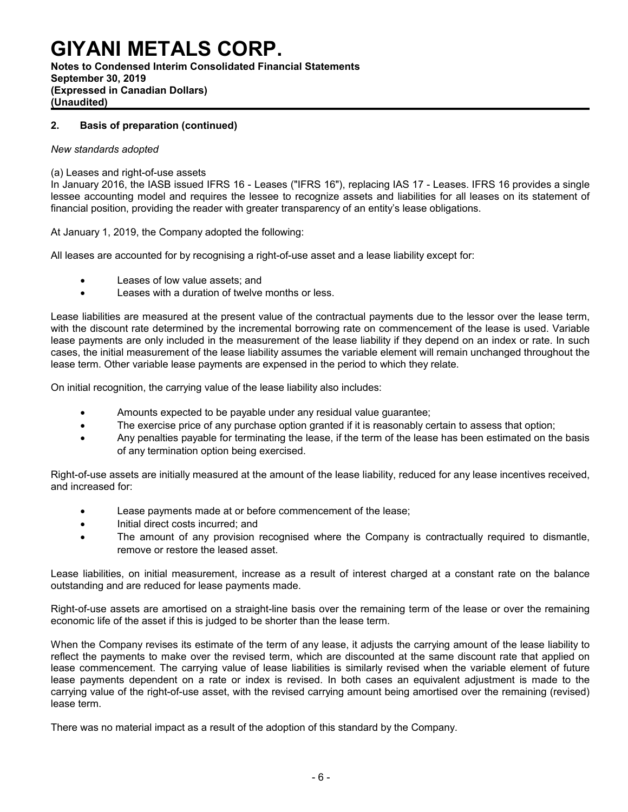#### **Notes to Condensed Interim Consolidated Financial Statements September 30, 2019 (Expressed in Canadian Dollars) (Unaudited)**

#### **2. Basis of preparation (continued)**

#### *New standards adopted*

#### (a) Leases and right-of-use assets

In January 2016, the IASB issued IFRS 16 - Leases ("IFRS 16"), replacing IAS 17 - Leases. IFRS 16 provides a single lessee accounting model and requires the lessee to recognize assets and liabilities for all leases on its statement of financial position, providing the reader with greater transparency of an entity's lease obligations.

At January 1, 2019, the Company adopted the following:

All leases are accounted for by recognising a right-of-use asset and a lease liability except for:

- Leases of low value assets; and
- Leases with a duration of twelve months or less.

Lease liabilities are measured at the present value of the contractual payments due to the lessor over the lease term, with the discount rate determined by the incremental borrowing rate on commencement of the lease is used. Variable lease payments are only included in the measurement of the lease liability if they depend on an index or rate. In such cases, the initial measurement of the lease liability assumes the variable element will remain unchanged throughout the lease term. Other variable lease payments are expensed in the period to which they relate.

On initial recognition, the carrying value of the lease liability also includes:

- Amounts expected to be payable under any residual value guarantee;
- The exercise price of any purchase option granted if it is reasonably certain to assess that option;
- Any penalties payable for terminating the lease, if the term of the lease has been estimated on the basis of any termination option being exercised.

Right-of-use assets are initially measured at the amount of the lease liability, reduced for any lease incentives received, and increased for:

- Lease payments made at or before commencement of the lease;
- Initial direct costs incurred; and
- The amount of any provision recognised where the Company is contractually required to dismantle, remove or restore the leased asset.

Lease liabilities, on initial measurement, increase as a result of interest charged at a constant rate on the balance outstanding and are reduced for lease payments made.

Right-of-use assets are amortised on a straight-line basis over the remaining term of the lease or over the remaining economic life of the asset if this is judged to be shorter than the lease term.

When the Company revises its estimate of the term of any lease, it adjusts the carrying amount of the lease liability to reflect the payments to make over the revised term, which are discounted at the same discount rate that applied on lease commencement. The carrying value of lease liabilities is similarly revised when the variable element of future lease payments dependent on a rate or index is revised. In both cases an equivalent adjustment is made to the carrying value of the right-of-use asset, with the revised carrying amount being amortised over the remaining (revised) lease term.

There was no material impact as a result of the adoption of this standard by the Company.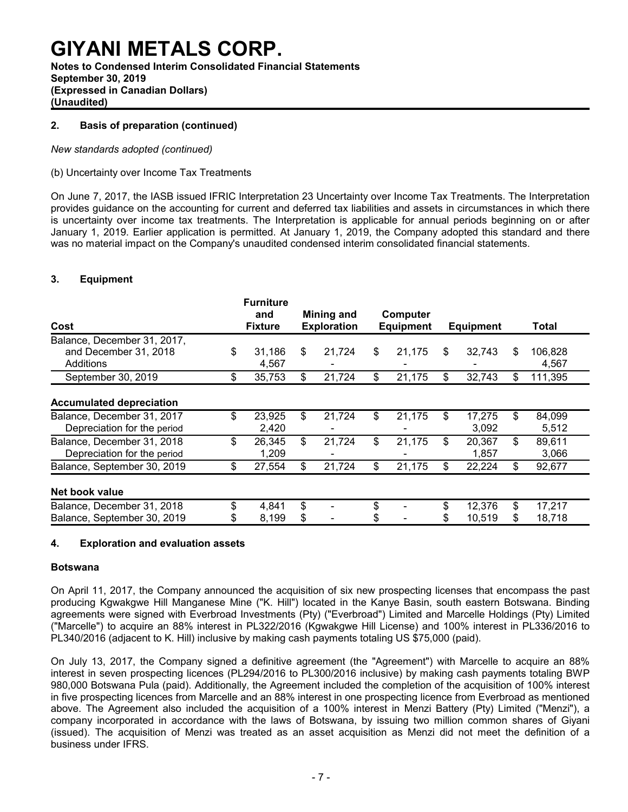**Notes to Condensed Interim Consolidated Financial Statements September 30, 2019 (Expressed in Canadian Dollars) (Unaudited)**

#### **2. Basis of preparation (continued)**

#### *New standards adopted (continued)*

#### (b) Uncertainty over Income Tax Treatments

On June 7, 2017, the IASB issued IFRIC Interpretation 23 Uncertainty over Income Tax Treatments. The Interpretation provides guidance on the accounting for current and deferred tax liabilities and assets in circumstances in which there is uncertainty over income tax treatments. The Interpretation is applicable for annual periods beginning on or after January 1, 2019. Earlier application is permitted. At January 1, 2019, the Company adopted this standard and there was no material impact on the Company's unaudited condensed interim consolidated financial statements.

#### **3. Equipment**

| Cost                                                              | <b>Furniture</b><br>and<br><b>Fixture</b> |          | Mining and<br><b>Exploration</b> |         | Computer<br><b>Equipment</b> |         | <b>Equipment</b> |          | Total            |
|-------------------------------------------------------------------|-------------------------------------------|----------|----------------------------------|---------|------------------------------|---------|------------------|----------|------------------|
| Balance, December 31, 2017,<br>and December 31, 2018<br>Additions | \$<br>31.186<br>4,567                     | \$       | 21.724                           | \$      | 21.175                       | \$      | 32,743           | \$       | 106,828<br>4.567 |
| September 30, 2019                                                | \$<br>35,753                              | S        | 21,724                           | \$      | 21,175                       | \$      | 32,743           | \$       | 111,395          |
| <b>Accumulated depreciation</b>                                   |                                           |          |                                  |         |                              |         |                  |          |                  |
| Balance, December 31, 2017<br>Depreciation for the period         | \$<br>23,925<br>2,420                     | \$       | 21,724                           | \$      | 21,175                       | \$      | 17,275<br>3,092  | \$       | 84,099<br>5,512  |
| Balance, December 31, 2018<br>Depreciation for the period         | \$<br>26,345<br>1,209                     | \$.      | 21,724                           | \$      | 21,175                       | \$      | 20,367<br>1,857  | \$       | 89,611<br>3,066  |
| Balance, September 30, 2019                                       | \$<br>27,554                              | \$.      | 21,724                           | \$      | 21,175                       | \$      | 22,224           | \$       | 92,677           |
| Net book value                                                    |                                           |          |                                  |         |                              |         |                  |          |                  |
| Balance, December 31, 2018<br>Balance, September 30, 2019         | \$<br>4,841<br>8,199                      | \$<br>\$ |                                  | \$<br>S |                              | \$<br>S | 12,376<br>10,519 | \$<br>\$ | 17,217<br>18,718 |

#### **4. Exploration and evaluation assets**

#### **Botswana**

On April 11, 2017, the Company announced the acquisition of six new prospecting licenses that encompass the past producing Kgwakgwe Hill Manganese Mine ("K. Hill") located in the Kanye Basin, south eastern Botswana. Binding agreements were signed with Everbroad Investments (Pty) ("Everbroad") Limited and Marcelle Holdings (Pty) Limited ("Marcelle") to acquire an 88% interest in PL322/2016 (Kgwakgwe Hill License) and 100% interest in PL336/2016 to PL340/2016 (adjacent to K. Hill) inclusive by making cash payments totaling US \$75,000 (paid).

On July 13, 2017, the Company signed a definitive agreement (the "Agreement") with Marcelle to acquire an 88% interest in seven prospecting licences (PL294/2016 to PL300/2016 inclusive) by making cash payments totaling BWP 980,000 Botswana Pula (paid). Additionally, the Agreement included the completion of the acquisition of 100% interest in five prospecting licences from Marcelle and an 88% interest in one prospecting licence from Everbroad as mentioned above. The Agreement also included the acquisition of a 100% interest in Menzi Battery (Pty) Limited ("Menzi"), a company incorporated in accordance with the laws of Botswana, by issuing two million common shares of Giyani (issued). The acquisition of Menzi was treated as an asset acquisition as Menzi did not meet the definition of a business under IFRS.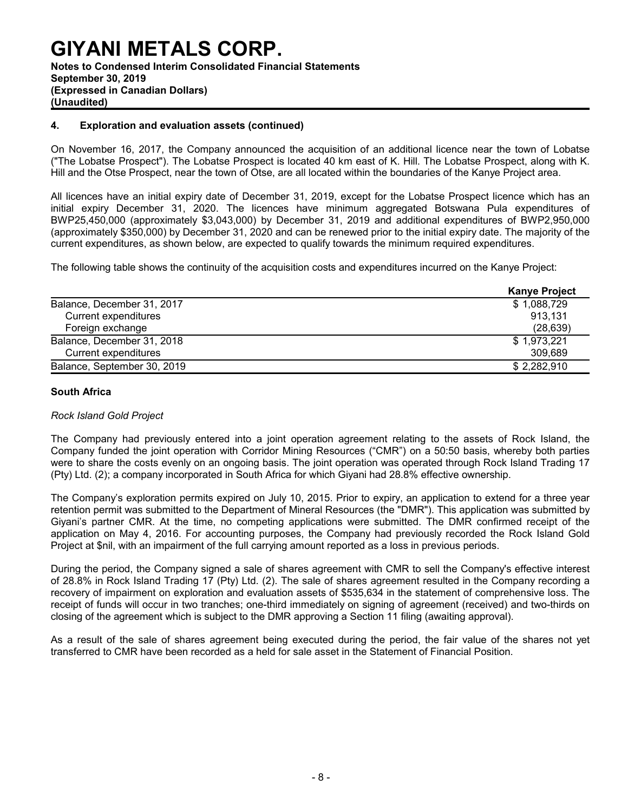#### **GIYANI METALS CORP. Notes to Condensed Interim Consolidated Financial Statements September 30, 2019 (Expressed in Canadian Dollars) (Unaudited)**

#### **4. Exploration and evaluation assets (continued)**

On November 16, 2017, the Company announced the acquisition of an additional licence near the town of Lobatse ("The Lobatse Prospect"). The Lobatse Prospect is located 40 km east of K. Hill. The Lobatse Prospect, along with K. Hill and the Otse Prospect, near the town of Otse, are all located within the boundaries of the Kanye Project area.

All licences have an initial expiry date of December 31, 2019, except for the Lobatse Prospect licence which has an initial expiry December 31, 2020. The licences have minimum aggregated Botswana Pula expenditures of BWP25,450,000 (approximately \$3,043,000) by December 31, 2019 and additional expenditures of BWP2,950,000 (approximately \$350,000) by December 31, 2020 and can be renewed prior to the initial expiry date. The majority of the current expenditures, as shown below, are expected to qualify towards the minimum required expenditures.

The following table shows the continuity of the acquisition costs and expenditures incurred on the Kanye Project:

|                             | <b>Kanye Project</b> |
|-----------------------------|----------------------|
| Balance, December 31, 2017  | \$1,088,729          |
| <b>Current expenditures</b> | 913,131              |
| Foreign exchange            | (28, 639)            |
| Balance, December 31, 2018  | \$1,973,221          |
| <b>Current expenditures</b> | 309.689              |
| Balance, September 30, 2019 | \$2,282,910          |

#### **South Africa**

#### *Rock Island Gold Project*

The Company had previously entered into a joint operation agreement relating to the assets of Rock Island, the Company funded the joint operation with Corridor Mining Resources ("CMR") on a 50:50 basis, whereby both parties were to share the costs evenly on an ongoing basis. The joint operation was operated through Rock Island Trading 17 (Pty) Ltd. (2); a company incorporated in South Africa for which Giyani had 28.8% effective ownership.

The Company's exploration permits expired on July 10, 2015. Prior to expiry, an application to extend for a three year retention permit was submitted to the Department of Mineral Resources (the "DMR"). This application was submitted by Giyani's partner CMR. At the time, no competing applications were submitted. The DMR confirmed receipt of the application on May 4, 2016. For accounting purposes, the Company had previously recorded the Rock Island Gold Project at \$nil, with an impairment of the full carrying amount reported as a loss in previous periods.

During the period, the Company signed a sale of shares agreement with CMR to sell the Company's effective interest of 28.8% in Rock Island Trading 17 (Pty) Ltd. (2). The sale of shares agreement resulted in the Company recording a recovery of impairment on exploration and evaluation assets of \$535,634 in the statement of comprehensive loss. The receipt of funds will occur in two tranches; one-third immediately on signing of agreement (received) and two-thirds on closing of the agreement which is subject to the DMR approving a Section 11 filing (awaiting approval).

As a result of the sale of shares agreement being executed during the period, the fair value of the shares not yet transferred to CMR have been recorded as a held for sale asset in the Statement of Financial Position.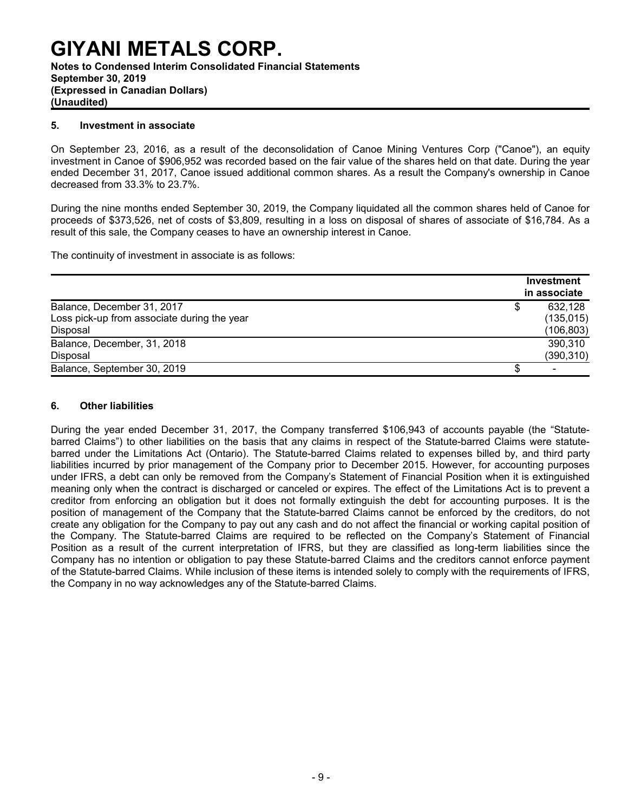### **GIYANI METALS CORP. Notes to Condensed Interim Consolidated Financial Statements**

#### **September 30, 2019 (Expressed in Canadian Dollars) (Unaudited)**

#### **5. Investment in associate**

On September 23, 2016, as a result of the deconsolidation of Canoe Mining Ventures Corp ("Canoe"), an equity investment in Canoe of \$906,952 was recorded based on the fair value of the shares held on that date. During the year ended December 31, 2017, Canoe issued additional common shares. As a result the Company's ownership in Canoe decreased from 33.3% to 23.7%.

During the nine months ended September 30, 2019, the Company liquidated all the common shares held of Canoe for proceeds of \$373,526, net of costs of \$3,809, resulting in a loss on disposal of shares of associate of \$16,784. As a result of this sale, the Company ceases to have an ownership interest in Canoe.

The continuity of investment in associate is as follows:

|                                             | Investment<br>in associate |
|---------------------------------------------|----------------------------|
| Balance, December 31, 2017                  | 632,128                    |
| Loss pick-up from associate during the year | (135, 015)                 |
| Disposal                                    | (106,803)                  |
| Balance, December, 31, 2018                 | 390,310                    |
| Disposal                                    | (390, 310)                 |
| Balance, September 30, 2019                 |                            |

#### **6. Other liabilities**

During the year ended December 31, 2017, the Company transferred \$106,943 of accounts payable (the "Statutebarred Claims") to other liabilities on the basis that any claims in respect of the Statute-barred Claims were statutebarred under the Limitations Act (Ontario). The Statute-barred Claims related to expenses billed by, and third party liabilities incurred by prior management of the Company prior to December 2015. However, for accounting purposes under IFRS, a debt can only be removed from the Company's Statement of Financial Position when it is extinguished meaning only when the contract is discharged or canceled or expires. The effect of the Limitations Act is to prevent a creditor from enforcing an obligation but it does not formally extinguish the debt for accounting purposes. It is the position of management of the Company that the Statute-barred Claims cannot be enforced by the creditors, do not create any obligation for the Company to pay out any cash and do not affect the financial or working capital position of the Company. The Statute-barred Claims are required to be reflected on the Company's Statement of Financial Position as a result of the current interpretation of IFRS, but they are classified as long-term liabilities since the Company has no intention or obligation to pay these Statute-barred Claims and the creditors cannot enforce payment of the Statute-barred Claims. While inclusion of these items is intended solely to comply with the requirements of IFRS, the Company in no way acknowledges any of the Statute-barred Claims.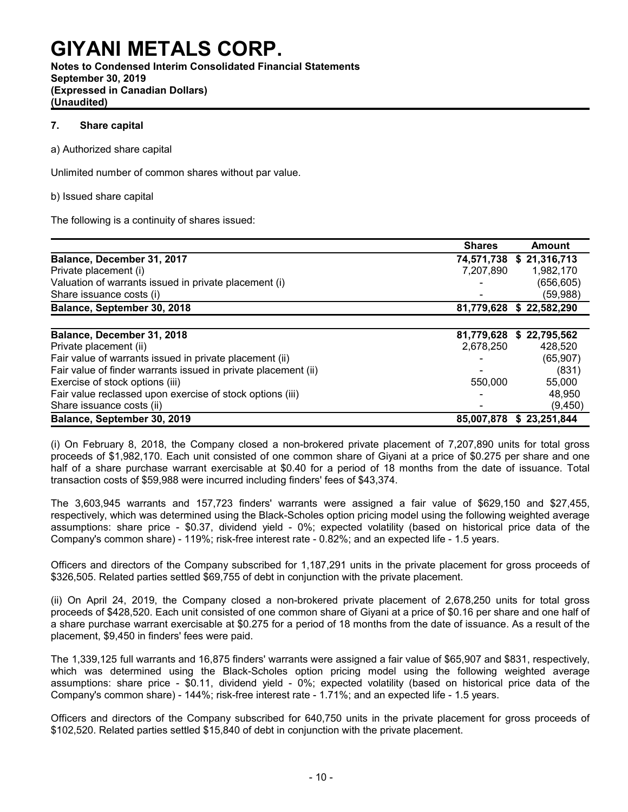**Notes to Condensed Interim Consolidated Financial Statements September 30, 2019 (Expressed in Canadian Dollars) (Unaudited)**

#### **7. Share capital**

a) Authorized share capital

Unlimited number of common shares without par value.

#### b) Issued share capital

The following is a continuity of shares issued:

|                                                                | <b>Shares</b> | <b>Amount</b>            |
|----------------------------------------------------------------|---------------|--------------------------|
| Balance, December 31, 2017                                     |               | 74,571,738 \$ 21,316,713 |
| Private placement (i)                                          | 7.207.890     | 1,982,170                |
| Valuation of warrants issued in private placement (i)          |               | (656, 605)               |
| Share issuance costs (i)                                       |               | (59,988)                 |
| Balance, September 30, 2018                                    |               | 81,779,628 \$22,582,290  |
|                                                                |               |                          |
| Balance, December 31, 2018                                     | 81,779,628    | \$22,795,562             |
| Private placement (ii)                                         | 2,678,250     | 428,520                  |
| Fair value of warrants issued in private placement (ii)        |               | (65,907)                 |
| Fair value of finder warrants issued in private placement (ii) |               | (831)                    |
| Exercise of stock options (iii)                                | 550,000       | 55,000                   |
| Fair value reclassed upon exercise of stock options (iii)      |               | 48,950                   |
| Share issuance costs (ii)                                      |               | (9, 450)                 |
| Balance, September 30, 2019                                    |               | 85,007,878 \$23,251,844  |

(i) On February 8, 2018, the Company closed a non-brokered private placement of 7,207,890 units for total gross proceeds of \$1,982,170. Each unit consisted of one common share of Giyani at a price of \$0.275 per share and one half of a share purchase warrant exercisable at \$0.40 for a period of 18 months from the date of issuance. Total transaction costs of \$59,988 were incurred including finders' fees of \$43,374.

The 3,603,945 warrants and 157,723 finders' warrants were assigned a fair value of \$629,150 and \$27,455, respectively, which was determined using the Black-Scholes option pricing model using the following weighted average assumptions: share price - \$0.37, dividend yield - 0%; expected volatility (based on historical price data of the Company's common share) - 119%; risk-free interest rate - 0.82%; and an expected life - 1.5 years.

Officers and directors of the Company subscribed for 1,187,291 units in the private placement for gross proceeds of \$326,505. Related parties settled \$69,755 of debt in conjunction with the private placement.

(ii) On April 24, 2019, the Company closed a non-brokered private placement of 2,678,250 units for total gross proceeds of \$428,520. Each unit consisted of one common share of Giyani at a price of \$0.16 per share and one half of a share purchase warrant exercisable at \$0.275 for a period of 18 months from the date of issuance. As a result of the placement, \$9,450 in finders' fees were paid.

The 1,339,125 full warrants and 16,875 finders' warrants were assigned a fair value of \$65,907 and \$831, respectively, which was determined using the Black-Scholes option pricing model using the following weighted average assumptions: share price - \$0.11, dividend yield - 0%; expected volatility (based on historical price data of the Company's common share) - 144%; risk-free interest rate - 1.71%; and an expected life - 1.5 years.

Officers and directors of the Company subscribed for 640,750 units in the private placement for gross proceeds of \$102,520. Related parties settled \$15,840 of debt in conjunction with the private placement.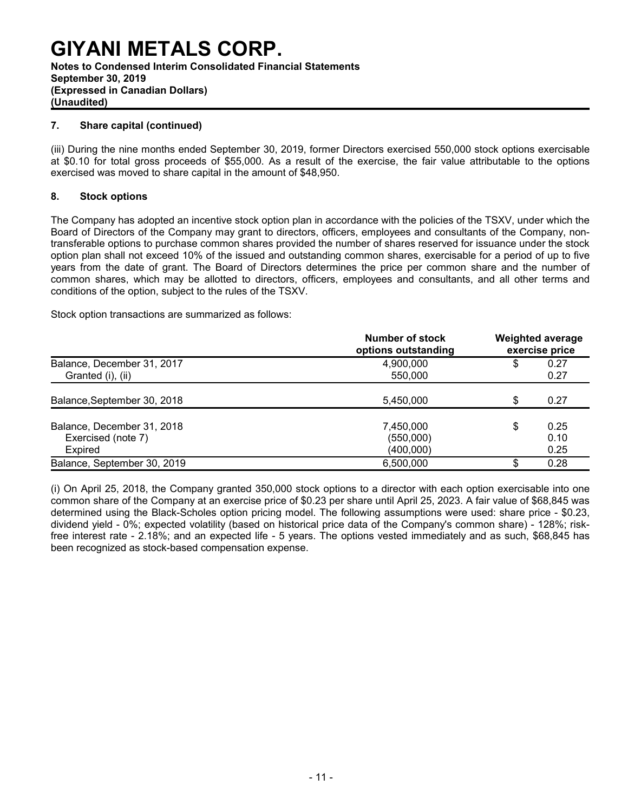### **GIYANI METALS CORP. Notes to Condensed Interim Consolidated Financial Statements September 30, 2019 (Expressed in Canadian Dollars) (Unaudited)**

#### **7. Share capital (continued)**

(iii) During the nine months ended September 30, 2019, former Directors exercised 550,000 stock options exercisable at \$0.10 for total gross proceeds of \$55,000. As a result of the exercise, the fair value attributable to the options exercised was moved to share capital in the amount of \$48,950.

#### **8. Stock options**

The Company has adopted an incentive stock option plan in accordance with the policies of the TSXV, under which the Board of Directors of the Company may grant to directors, officers, employees and consultants of the Company, nontransferable options to purchase common shares provided the number of shares reserved for issuance under the stock option plan shall not exceed 10% of the issued and outstanding common shares, exercisable for a period of up to five years from the date of grant. The Board of Directors determines the price per common share and the number of common shares, which may be allotted to directors, officers, employees and consultants, and all other terms and conditions of the option, subject to the rules of the TSXV.

Stock option transactions are summarized as follows:

|                             | Number of stock<br>options outstanding |    | <b>Weighted average</b><br>exercise price |
|-----------------------------|----------------------------------------|----|-------------------------------------------|
| Balance, December 31, 2017  | 4,900,000                              | \$ | 0.27                                      |
| Granted (i), (ii)           | 550,000                                |    | 0.27                                      |
| Balance, September 30, 2018 | 5,450,000                              | \$ | 0.27                                      |
| Balance, December 31, 2018  | 7,450,000                              | \$ | 0.25                                      |
| Exercised (note 7)          | (550,000)                              |    | 0.10                                      |
| Expired                     | (400,000)                              |    | 0.25                                      |
| Balance, September 30, 2019 | 6,500,000                              | \$ | 0.28                                      |

(i) On April 25, 2018, the Company granted 350,000 stock options to a director with each option exercisable into one common share of the Company at an exercise price of \$0.23 per share until April 25, 2023. A fair value of \$68,845 was determined using the Black-Scholes option pricing model. The following assumptions were used: share price - \$0.23, dividend yield - 0%; expected volatility (based on historical price data of the Company's common share) - 128%; riskfree interest rate - 2.18%; and an expected life - 5 years. The options vested immediately and as such, \$68,845 has been recognized as stock-based compensation expense.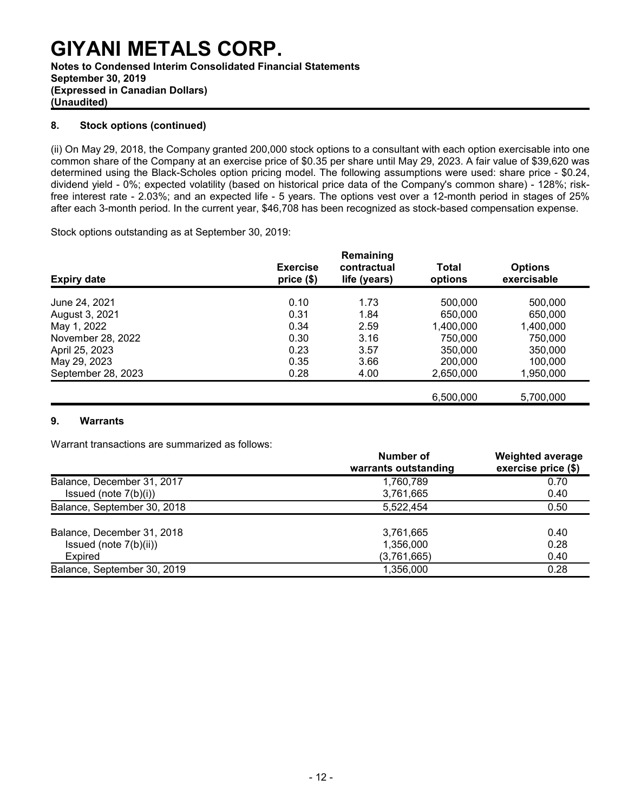**Notes to Condensed Interim Consolidated Financial Statements September 30, 2019 (Expressed in Canadian Dollars) (Unaudited)**

#### **8. Stock options (continued)**

(ii) On May 29, 2018, the Company granted 200,000 stock options to a consultant with each option exercisable into one common share of the Company at an exercise price of \$0.35 per share until May 29, 2023. A fair value of \$39,620 was determined using the Black-Scholes option pricing model. The following assumptions were used: share price - \$0.24, dividend yield - 0%; expected volatility (based on historical price data of the Company's common share) - 128%; riskfree interest rate - 2.03%; and an expected life - 5 years. The options vest over a 12-month period in stages of 25% after each 3-month period. In the current year, \$46,708 has been recognized as stock-based compensation expense.

Stock options outstanding as at September 30, 2019:

| <b>Expiry date</b> | <b>Exercise</b><br>price(\$) | Remaining<br>contractual<br>life (years) | Total<br>options | <b>Options</b><br>exercisable |
|--------------------|------------------------------|------------------------------------------|------------------|-------------------------------|
| June 24, 2021      | 0.10                         | 1.73                                     | 500,000          | 500,000                       |
| August 3, 2021     | 0.31                         | 1.84                                     | 650,000          | 650,000                       |
| May 1, 2022        | 0.34                         | 2.59                                     | 1,400,000        | 1,400,000                     |
| November 28, 2022  | 0.30                         | 3.16                                     | 750,000          | 750,000                       |
| April 25, 2023     | 0.23                         | 3.57                                     | 350,000          | 350,000                       |
| May 29, 2023       | 0.35                         | 3.66                                     | 200,000          | 100.000                       |
| September 28, 2023 | 0.28                         | 4.00                                     | 2,650,000        | 1,950,000                     |
|                    |                              |                                          | 6.500.000        | 5.700.000                     |

#### **9. Warrants**

Warrant transactions are summarized as follows:

|                             | Number of<br>warrants outstanding | <b>Weighted average</b><br>exercise price (\$) |
|-----------------------------|-----------------------------------|------------------------------------------------|
| Balance, December 31, 2017  | 1,760,789                         | 0.70                                           |
| Issued (note $7(b)(i)$ )    | 3,761,665                         | 0.40                                           |
| Balance, September 30, 2018 | 5.522.454                         | 0.50                                           |
| Balance, December 31, 2018  | 3,761,665                         | 0.40                                           |
| Issued (note $7(b)(ii)$ )   | 1,356,000                         | 0.28                                           |
| Expired                     | (3,761,665)                       | 0.40                                           |
| Balance, September 30, 2019 | 1,356,000                         | 0.28                                           |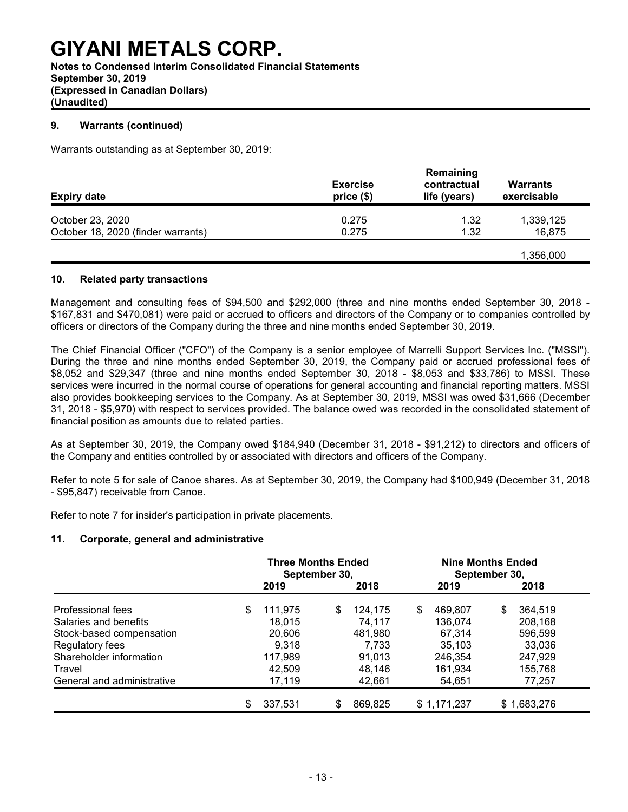**Notes to Condensed Interim Consolidated Financial Statements September 30, 2019 (Expressed in Canadian Dollars) (Unaudited)**

#### **9. Warrants (continued)**

Warrants outstanding as at September 30, 2019:

| <b>Expiry date</b>                 | <b>Exercise</b><br>price(\$) | Remaining<br>contractual<br>life (years) | Warrants<br>exercisable |
|------------------------------------|------------------------------|------------------------------------------|-------------------------|
| October 23, 2020                   | 0.275                        | 1.32                                     | 1,339,125               |
| October 18, 2020 (finder warrants) | 0.275                        | 1.32                                     | 16,875                  |
|                                    |                              |                                          | 1,356,000               |

#### **10. Related party transactions**

Management and consulting fees of \$94,500 and \$292,000 (three and nine months ended September 30, 2018 - \$167,831 and \$470,081) were paid or accrued to officers and directors of the Company or to companies controlled by officers or directors of the Company during the three and nine months ended September 30, 2019.

The Chief Financial Officer ("CFO") of the Company is a senior employee of Marrelli Support Services Inc. ("MSSI"). During the three and nine months ended September 30, 2019, the Company paid or accrued professional fees of \$8,052 and \$29,347 (three and nine months ended September 30, 2018 - \$8,053 and \$33,786) to MSSI. These services were incurred in the normal course of operations for general accounting and financial reporting matters. MSSI also provides bookkeeping services to the Company. As at September 30, 2019, MSSI was owed \$31,666 (December 31, 2018 - \$5,970) with respect to services provided. The balance owed was recorded in the consolidated statement of financial position as amounts due to related parties.

As at September 30, 2019, the Company owed \$184,940 (December 31, 2018 - \$91,212) to directors and officers of the Company and entities controlled by or associated with directors and officers of the Company.

Refer to note 5 for sale of Canoe shares. As at September 30, 2019, the Company had \$100,949 (December 31, 2018 - \$95,847) receivable from Canoe.

Refer to note 7 for insider's participation in private placements.

#### **11. Corporate, general and administrative**

|                            | <b>Three Months Ended</b><br>September 30, |         |     |         | <b>Nine Months Ended</b><br>September 30, |               |  |  |  |
|----------------------------|--------------------------------------------|---------|-----|---------|-------------------------------------------|---------------|--|--|--|
|                            |                                            | 2019    |     | 2018    | 2019                                      | 2018          |  |  |  |
| Professional fees          | \$                                         | 111,975 | \$  | 124.175 | \$<br>469.807                             | \$<br>364,519 |  |  |  |
| Salaries and benefits      |                                            | 18,015  |     | 74,117  | 136,074                                   | 208,168       |  |  |  |
| Stock-based compensation   |                                            | 20,606  |     | 481,980 | 67,314                                    | 596,599       |  |  |  |
| Regulatory fees            |                                            | 9.318   |     | 7.733   | 35.103                                    | 33,036        |  |  |  |
| Shareholder information    |                                            | 117,989 |     | 91.013  | 246.354                                   | 247,929       |  |  |  |
| Travel                     |                                            | 42,509  |     | 48,146  | 161,934                                   | 155,768       |  |  |  |
| General and administrative |                                            | 17,119  |     | 42,661  | 54,651                                    | 77,257        |  |  |  |
|                            | \$                                         | 337,531 | \$. | 869,825 | \$1,171,237                               | \$1,683,276   |  |  |  |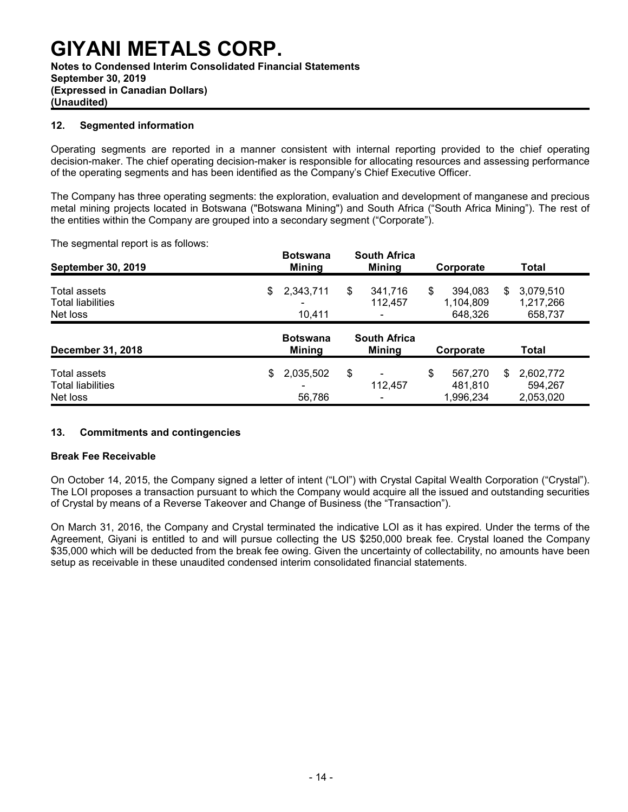#### **(Expressed in Canadian Dollars) (Unaudited)**

#### **12. Segmented information**

Operating segments are reported in a manner consistent with internal reporting provided to the chief operating decision-maker. The chief operating decision-maker is responsible for allocating resources and assessing performance of the operating segments and has been identified as the Company's Chief Executive Officer.

The Company has three operating segments: the exploration, evaluation and development of manganese and precious metal mining projects located in Botswana ("Botswana Mining") and South Africa ("South Africa Mining"). The rest of the entities within the Company are grouped into a secondary segment ("Corporate").

The segmental report is as follows:

| <b>September 30, 2019</b>                | <b>Botswana</b><br><b>Mining</b> | <b>South Africa</b><br><b>Mining</b> |                          | Corporate |                      | Total        |                        |
|------------------------------------------|----------------------------------|--------------------------------------|--------------------------|-----------|----------------------|--------------|------------------------|
| Total assets<br><b>Total liabilities</b> | \$<br>2,343,711                  | \$                                   | 341,716<br>112,457       | \$        | 394,083<br>1,104,809 | \$           | 3,079,510<br>1,217,266 |
| Net loss                                 | 10.411                           |                                      |                          |           | 648,326              |              | 658,737                |
| <b>December 31, 2018</b>                 | <b>Botswana</b><br><b>Mining</b> | <b>South Africa</b><br><b>Mining</b> |                          | Corporate |                      | <b>Total</b> |                        |
| Total assets<br><b>Total liabilities</b> | \$<br>2,035,502                  | \$                                   | 112,457                  | \$        | 567,270<br>481,810   | S.           | 2,602,772<br>594,267   |
| Net loss                                 | 56,786                           |                                      | $\overline{\phantom{a}}$ |           | 1,996,234            |              | 2,053,020              |

#### **13. Commitments and contingencies**

#### **Break Fee Receivable**

On October 14, 2015, the Company signed a letter of intent ("LOI") with Crystal Capital Wealth Corporation ("Crystal"). The LOI proposes a transaction pursuant to which the Company would acquire all the issued and outstanding securities of Crystal by means of a Reverse Takeover and Change of Business (the "Transaction").

On March 31, 2016, the Company and Crystal terminated the indicative LOI as it has expired. Under the terms of the Agreement, Giyani is entitled to and will pursue collecting the US \$250,000 break fee. Crystal loaned the Company \$35,000 which will be deducted from the break fee owing. Given the uncertainty of collectability, no amounts have been setup as receivable in these unaudited condensed interim consolidated financial statements.